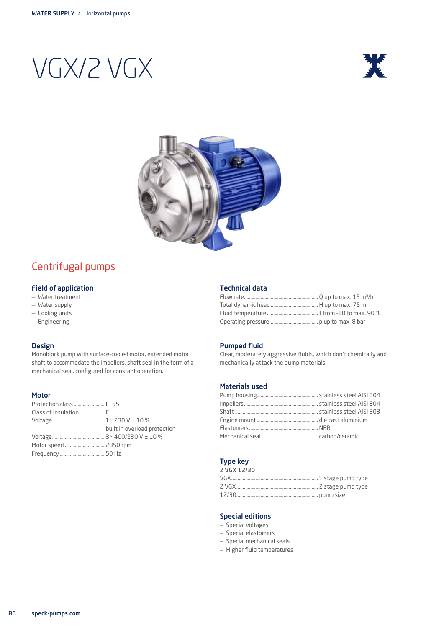# VGX/2 VGX





# Centrifugal pumps

#### Field of application

- Water treatment
- Water supply
- Cooling units
- Engineering

### Design

Monoblock pump with surface-cooled motor, extended motor shaft to accommodate the impellers, shaft seal in the form of a mechanical seal, configured for constant operation.

#### Motor

| built in overload protection |
|------------------------------|
|                              |
|                              |
|                              |
|                              |

#### Technical data

#### Pumped fluid

Clear, moderately aggressive fluids, which don't chemically and mechanically attack the pump materials.

#### Materials used

#### Type key 2 VGX 12/30

| --------- |  |
|-----------|--|
|           |  |
|           |  |
|           |  |

#### Special editions

- Special voltages
- Special elastomers
- Special mechanical seals
- Higher fluid temperatures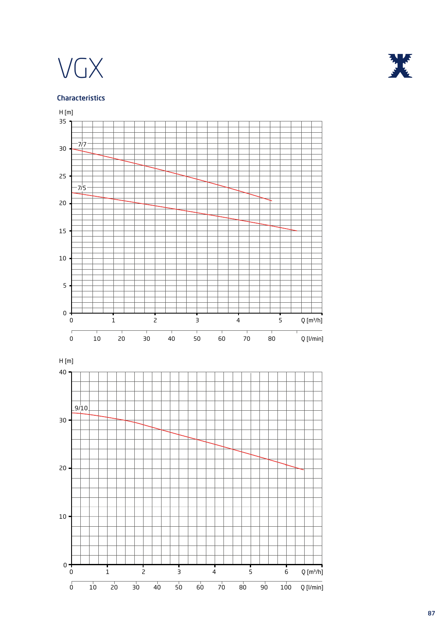



# Characteristics

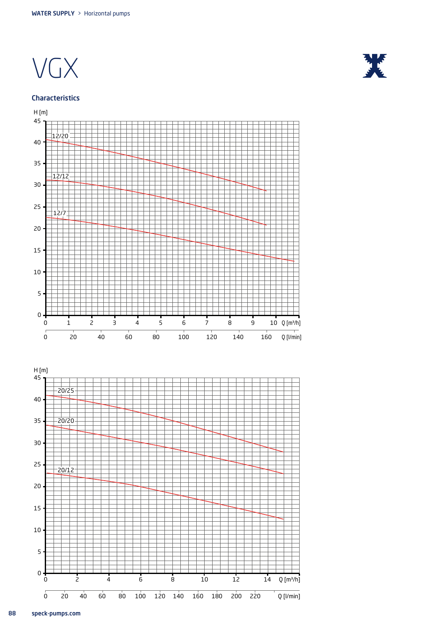

#### Characteristics



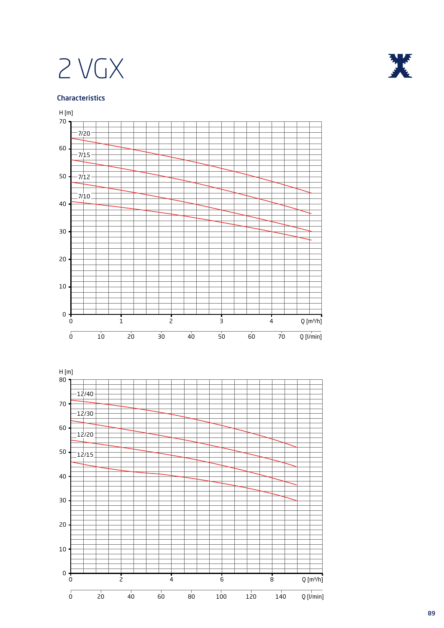# 2 VGX





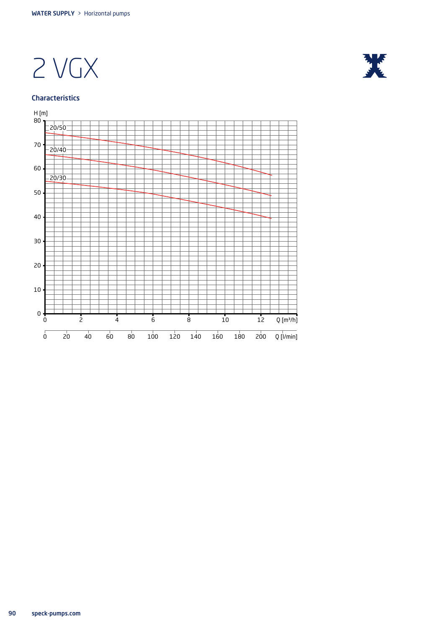2 VGX

## Characteristics



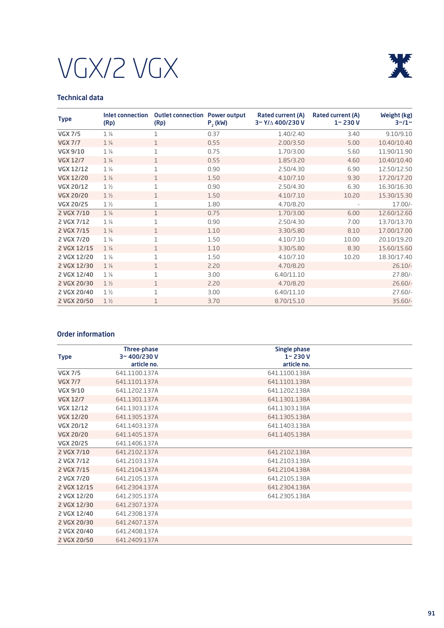



# Technical data

| <b>Type</b>      | Inlet connection<br>(Rp) | <b>Outlet connection Power output</b><br>(Rp) | $P2$ (kW) | <b>Rated current (A)</b><br>3~ Y/∆ 400/230 V | Rated current (A)<br>$1 - 230V$ | Weight (kg)<br>$3 - 1 -$ |
|------------------|--------------------------|-----------------------------------------------|-----------|----------------------------------------------|---------------------------------|--------------------------|
| <b>VGX 7/5</b>   | $1\frac{1}{4}$           | 1                                             | 0.37      | 1.40/2.40                                    | 3.40                            | 9.10/9.10                |
| <b>VGX 7/7</b>   | $1\frac{1}{4}$           | 1                                             | 0.55      | 2.00/3.50                                    | 5.00                            | 10.40/10.40              |
| <b>VGX 9/10</b>  | $1\frac{1}{4}$           | 1                                             | 0.75      | 1.70/3.00                                    | 5.60                            | 11.90/11.90              |
| <b>VGX 12/7</b>  | $1\frac{1}{4}$           | $\mathbf{1}$                                  | 0.55      | 1.85/3.20                                    | 4.60                            | 10.40/10.40              |
| <b>VGX 12/12</b> | $1\frac{1}{4}$           | $\mathbf{1}$                                  | 0.90      | 2.50/4.30                                    | 6.90                            | 12.50/12.50              |
| <b>VGX 12/20</b> | $1\frac{1}{4}$           | $\mathbf{1}$                                  | 1.50      | 4.10/7.10                                    | 9.30                            | 17.20/17.20              |
| <b>VGX 20/12</b> | $1\frac{1}{2}$           | 1                                             | 0.90      | 2.50/4.30                                    | 6.30                            | 16.30/16.30              |
| <b>VGX 20/20</b> | $1\frac{1}{2}$           | $\mathbf{1}$                                  | 1.50      | 4.10/7.10                                    | 10.20                           | 15.30/15.30              |
| <b>VGX 20/25</b> | $1\frac{1}{2}$           | 1                                             | 1.80      | 4.70/8.20                                    |                                 | $17.00/-$                |
| 2 VGX 7/10       | $1\frac{1}{4}$           | $\mathbf{1}$                                  | 0.75      | 1.70/3.00                                    | 6.00                            | 12.60/12.60              |
| 2 VGX 7/12       | $1\frac{1}{4}$           | $\mathbf{1}$                                  | 0.90      | 2.50/4.30                                    | 7.00                            | 13.70/13.70              |
| 2 VGX 7/15       | $1\frac{1}{4}$           | $\mathbf{1}$                                  | 1.10      | 3.30/5.80                                    | 8.10                            | 17.00/17.00              |
| 2 VGX 7/20       | $1\frac{1}{4}$           | 1                                             | 1.50      | 4.10/7.10                                    | 10.00                           | 20.10/19.20              |
| 2 VGX 12/15      | $1\frac{1}{4}$           | $\mathbf{1}$                                  | 1.10      | 3,30/5,80                                    | 8.30                            | 15.60/15.60              |
| 2 VGX 12/20      | $1\frac{1}{4}$           | 1                                             | 1.50      | 4.10/7.10                                    | 10.20                           | 18.30/17.40              |
| 2 VGX 12/30      | $1\frac{1}{4}$           | 1                                             | 2.20      | 4.70/8.20                                    |                                 | $26.10/-$                |
| 2 VGX 12/40      | $1\frac{1}{4}$           | $\mathbf{1}$                                  | 3.00      | 6.40/11.10                                   |                                 | $27.80/-$                |
| 2 VGX 20/30      | $1\frac{1}{2}$           | $\mathbf{1}$                                  | 2.20      | 4.70/8.20                                    |                                 | 26.60/                   |
| 2 VGX 20/40      | $1\frac{1}{2}$           | 1                                             | 3.00      | 6.40/11.10                                   |                                 | $27.60/-$                |
| 2 VGX 20/50      | $1\frac{1}{2}$           | $\mathbf 1$                                   | 3.70      | 8.70/15.10                                   |                                 | $35.60/-$                |

# Order information

| <b>Type</b>      | Three-phase<br>3~400/230V | <b>Single phase</b><br>$1 - 230V$ |  |
|------------------|---------------------------|-----------------------------------|--|
|                  | article no.               | article no.                       |  |
| <b>VGX 7/5</b>   | 641.1100.137A             | 641.1100.138A                     |  |
| <b>VGX 7/7</b>   | 641.1101.137A             | 641.1101.138A                     |  |
| <b>VGX 9/10</b>  | 641.1202.137A             | 641.1202.138A                     |  |
| <b>VGX 12/7</b>  | 641.1301.137A             | 641.1301.138A                     |  |
| <b>VGX 12/12</b> | 641.1303.137A             | 641.1303.138A                     |  |
| <b>VGX 12/20</b> | 641.1305.137A             | 641.1305.138A                     |  |
| <b>VGX 20/12</b> | 641.1403.137A             | 641.1403.138A                     |  |
| <b>VGX 20/20</b> | 641.1405.137A             | 641.1405.138A                     |  |
| <b>VGX 20/25</b> | 641.1406.137A             |                                   |  |
| 2 VGX 7/10       | 641.2102.137A             | 641.2102.138A                     |  |
| 2 VGX 7/12       | 641.2103.137A             | 641.2103.138A                     |  |
| 2 VGX 7/15       | 641,2104,137A             | 641,2104,138A                     |  |
| 2 VGX 7/20       | 641.2105.137A             | 641.2105.138A                     |  |
| 2 VGX 12/15      | 641.2304.137A             | 641,2304,138A                     |  |
| 2 VGX 12/20      | 641,2305,137A             | 641.2305.138A                     |  |
| 2 VGX 12/30      | 641.2307.137A             |                                   |  |
| 2 VGX 12/40      | 641.2308.137A             |                                   |  |
| 2 VGX 20/30      | 641.2407.137A             |                                   |  |
| 2 VGX 20/40      | 641.2408.137A             |                                   |  |
| 2 VGX 20/50      | 641.2409.137A             |                                   |  |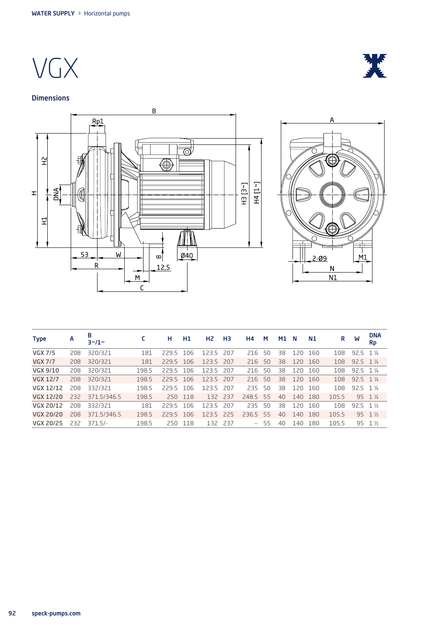VGX

## **Dimensions**



| <b>Type</b>      | A   | В<br>$3 - 11 -$ |       | н         | H <sub>1</sub> | H <sub>2</sub> | H3  | <b>H4</b>       | M     | <b>M1</b> | N       | <b>N1</b> | R     | W                  | <b>DNA</b><br><b>Rp</b> |
|------------------|-----|-----------------|-------|-----------|----------------|----------------|-----|-----------------|-------|-----------|---------|-----------|-------|--------------------|-------------------------|
| <b>VGX 7/5</b>   | 208 | 320/321         | 181   | 229.5 106 |                | 123.5 207      |     | 21 <sub>6</sub> | 50    | 38.       | 120     | - 160     | 108   | $92.5 \quad 1\,\%$ |                         |
| <b>VGX 7/7</b>   | 208 | 320/321         | 181   | 229.5 106 |                | 123.5 207      |     | 216             | 50    | 38        | 120 160 |           | 108   | $92.5 \quad 1\,\%$ |                         |
| VGX 9/10         | 208 | 320/321         | 198.5 | 229.5     | 106            | 123.5 207      |     | 216             | 50    | 38        | 120     | - 160     | 108   | $92.5 \quad 1\,\%$ |                         |
| <b>VGX 12/7</b>  | 208 | 320/321         | 198.5 | 229.5 106 |                | 123.5 207      |     | 216, 50         |       | 38        | 120 160 |           | 108   | $92.5 \quad 1\%$   |                         |
| VGX 12/12        | 208 | 332/321         | 198.5 | 229.5 106 |                | 123.5 207      |     | 235             | 50    | 38        | 120 160 |           | 108   | $92.5 \quad 1\,\%$ |                         |
| VGX 12/20        | 232 | 371.5/346.5     | 198.5 | 250       | 118            | 132 237        |     | 248.5 55        |       | 40        | 140     | 180       | 105.5 |                    | 95 1 1/4                |
| VGX 20/12        | 208 | 332/321         | 181   | 2295      | 106            | 123.5          | 207 | 235             | 50    | 38        | 120     | - 160     | 108   | $92.5 \quad 1\%$   |                         |
| <b>VGX 20/20</b> | 208 | 371.5/346.5     | 198.5 | 229.5 106 |                | 123.5 225      |     | 236.5 55        |       | 40        | 140     | -180      | 105.5 |                    | $95 \t1\frac{1}{2}$     |
| VGX 20/25        | 232 | $371.5/-$       | 198.5 |           | 250 118        | 132 237        |     |                 | $-55$ | 40        | 140     | 180       | 105.5 |                    | 95 1 1/2                |